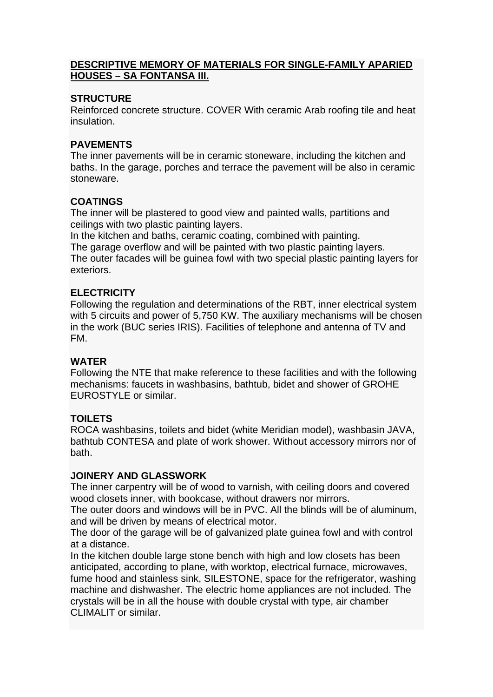#### **DESCRIPTIVE MEMORY OF MATERIALS FOR SINGLE-FAMILY APARIED HOUSES – SA FONTANSA III.**

## **STRUCTURE**

Reinforced concrete structure. COVER With ceramic Arab roofing tile and heat insulation.

# **PAVEMENTS**

The inner pavements will be in ceramic stoneware, including the kitchen and baths. In the garage, porches and terrace the pavement will be also in ceramic stoneware.

# **COATINGS**

The inner will be plastered to good view and painted walls, partitions and ceilings with two plastic painting layers.

In the kitchen and baths, ceramic coating, combined with painting.

The garage overflow and will be painted with two plastic painting layers. The outer facades will be guinea fowl with two special plastic painting layers for exteriors.

## **ELECTRICITY**

Following the regulation and determinations of the RBT, inner electrical system with 5 circuits and power of 5,750 KW. The auxiliary mechanisms will be chosen in the work (BUC series IRIS). Facilities of telephone and antenna of TV and FM.

## **WATER**

Following the NTE that make reference to these facilities and with the following mechanisms: faucets in washbasins, bathtub, bidet and shower of GROHE EUROSTYLE or similar.

## **TOILETS**

ROCA washbasins, toilets and bidet (white Meridian model), washbasin JAVA, bathtub CONTESA and plate of work shower. Without accessory mirrors nor of bath.

## **JOINERY AND GLASSWORK**

The inner carpentry will be of wood to varnish, with ceiling doors and covered wood closets inner, with bookcase, without drawers nor mirrors.

The outer doors and windows will be in PVC. All the blinds will be of aluminum, and will be driven by means of electrical motor.

The door of the garage will be of galvanized plate guinea fowl and with control at a distance.

In the kitchen double large stone bench with high and low closets has been anticipated, according to plane, with worktop, electrical furnace, microwaves, fume hood and stainless sink, SILESTONE, space for the refrigerator, washing machine and dishwasher. The electric home appliances are not included. The crystals will be in all the house with double crystal with type, air chamber CLIMALIT or similar.